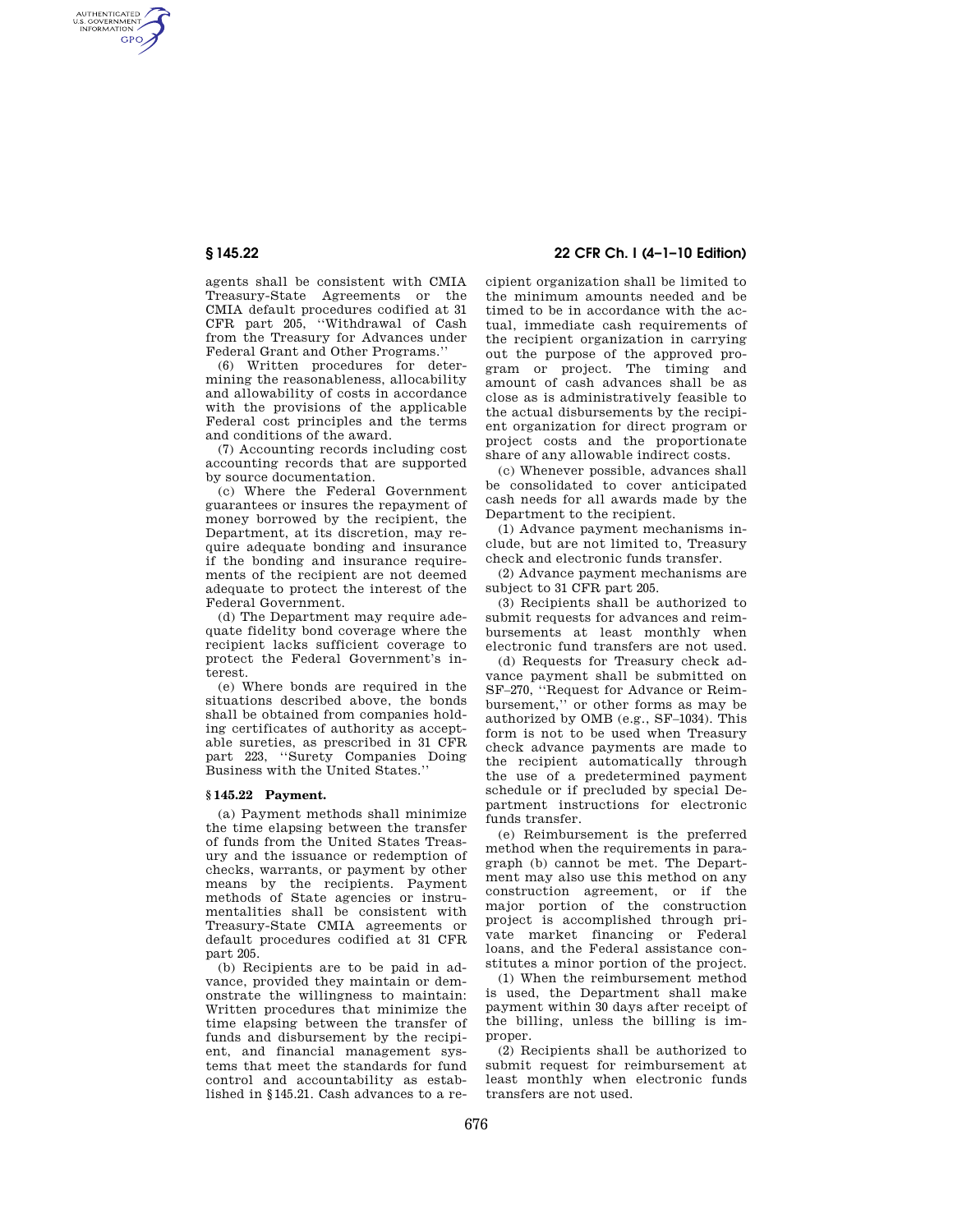AUTHENTICATED<br>U.S. GOVERNMENT<br>INFORMATION **GPO** 

> agents shall be consistent with CMIA Treasury-State Agreements or the CMIA default procedures codified at 31 CFR part 205, ''Withdrawal of Cash from the Treasury for Advances under Federal Grant and Other Programs.''

> (6) Written procedures for determining the reasonableness, allocability and allowability of costs in accordance with the provisions of the applicable Federal cost principles and the terms and conditions of the award.

> (7) Accounting records including cost accounting records that are supported by source documentation.

> (c) Where the Federal Government guarantees or insures the repayment of money borrowed by the recipient, the Department, at its discretion, may require adequate bonding and insurance if the bonding and insurance requirements of the recipient are not deemed adequate to protect the interest of the Federal Government.

> (d) The Department may require adequate fidelity bond coverage where the recipient lacks sufficient coverage to protect the Federal Government's interest.

> (e) Where bonds are required in the situations described above, the bonds shall be obtained from companies holding certificates of authority as acceptable sureties, as prescribed in 31 CFR part 223, ''Surety Companies Doing Business with the United States.''

## **§ 145.22 Payment.**

(a) Payment methods shall minimize the time elapsing between the transfer of funds from the United States Treasury and the issuance or redemption of checks, warrants, or payment by other means by the recipients. Payment methods of State agencies or instrumentalities shall be consistent with Treasury-State CMIA agreements or default procedures codified at 31 CFR part 205.

(b) Recipients are to be paid in advance, provided they maintain or demonstrate the willingness to maintain: Written procedures that minimize the time elapsing between the transfer of funds and disbursement by the recipient, and financial management systems that meet the standards for fund control and accountability as established in §145.21. Cash advances to a re-

# **§ 145.22 22 CFR Ch. I (4–1–10 Edition)**

cipient organization shall be limited to the minimum amounts needed and be timed to be in accordance with the actual, immediate cash requirements of the recipient organization in carrying out the purpose of the approved program or project. The timing and amount of cash advances shall be as close as is administratively feasible to the actual disbursements by the recipient organization for direct program or project costs and the proportionate share of any allowable indirect costs.

(c) Whenever possible, advances shall be consolidated to cover anticipated cash needs for all awards made by the Department to the recipient.

(1) Advance payment mechanisms include, but are not limited to, Treasury check and electronic funds transfer.

(2) Advance payment mechanisms are subject to 31 CFR part 205.

(3) Recipients shall be authorized to submit requests for advances and reimbursements at least monthly when electronic fund transfers are not used.

(d) Requests for Treasury check advance payment shall be submitted on SF–270, ''Request for Advance or Reimbursement,'' or other forms as may be authorized by OMB (e.g., SF–1034). This form is not to be used when Treasury check advance payments are made to the recipient automatically through the use of a predetermined payment schedule or if precluded by special Department instructions for electronic funds transfer.

(e) Reimbursement is the preferred method when the requirements in paragraph (b) cannot be met. The Department may also use this method on any construction agreement, or if the major portion of the construction project is accomplished through private market financing or Federal loans, and the Federal assistance constitutes a minor portion of the project.

(1) When the reimbursement method is used, the Department shall make payment within 30 days after receipt of the billing, unless the billing is improper.

(2) Recipients shall be authorized to submit request for reimbursement at least monthly when electronic funds transfers are not used.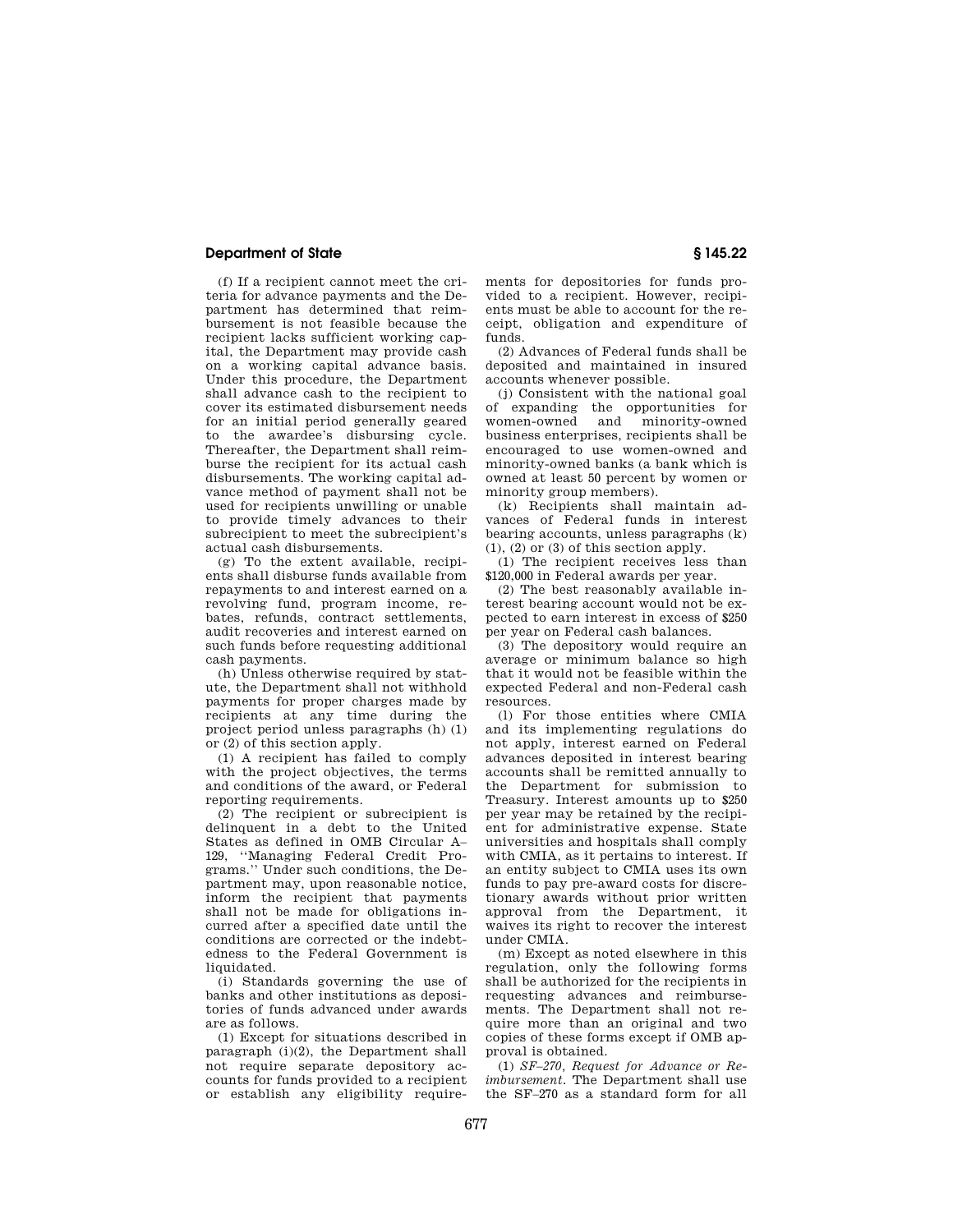## **Department of State § 145.22**

(f) If a recipient cannot meet the criteria for advance payments and the Department has determined that reimbursement is not feasible because the recipient lacks sufficient working capital, the Department may provide cash on a working capital advance basis. Under this procedure, the Department shall advance cash to the recipient to cover its estimated disbursement needs for an initial period generally geared to the awardee's disbursing cycle. Thereafter, the Department shall reimburse the recipient for its actual cash disbursements. The working capital advance method of payment shall not be used for recipients unwilling or unable to provide timely advances to their subrecipient to meet the subrecipient's actual cash disbursements.

(g) To the extent available, recipients shall disburse funds available from repayments to and interest earned on a revolving fund, program income, rebates, refunds, contract settlements, audit recoveries and interest earned on such funds before requesting additional cash payments.

(h) Unless otherwise required by statute, the Department shall not withhold payments for proper charges made by recipients at any time during the project period unless paragraphs (h) (1) or (2) of this section apply.

(1) A recipient has failed to comply with the project objectives, the terms and conditions of the award, or Federal reporting requirements.

(2) The recipient or subrecipient is delinquent in a debt to the United States as defined in OMB Circular A– 129, ''Managing Federal Credit Programs.'' Under such conditions, the Department may, upon reasonable notice, inform the recipient that payments shall not be made for obligations incurred after a specified date until the conditions are corrected or the indebtedness to the Federal Government is liquidated.

(i) Standards governing the use of banks and other institutions as depositories of funds advanced under awards are as follows.

(1) Except for situations described in paragraph  $(i)(2)$ , the Department shall not require separate depository accounts for funds provided to a recipient or establish any eligibility requirements for depositories for funds provided to a recipient. However, recipients must be able to account for the receipt, obligation and expenditure of funds.

(2) Advances of Federal funds shall be deposited and maintained in insured accounts whenever possible.

(j) Consistent with the national goal of expanding the opportunities for women-owned and minority-owned business enterprises, recipients shall be encouraged to use women-owned and minority-owned banks (a bank which is owned at least 50 percent by women or minority group members).

(k) Recipients shall maintain advances of Federal funds in interest bearing accounts, unless paragraphs (k)  $(1)$ ,  $(2)$  or  $(3)$  of this section apply.

(1) The recipient receives less than \$120,000 in Federal awards per year.

(2) The best reasonably available interest bearing account would not be expected to earn interest in excess of \$250 per year on Federal cash balances.

(3) The depository would require an average or minimum balance so high that it would not be feasible within the expected Federal and non-Federal cash resources.

(l) For those entities where CMIA and its implementing regulations do not apply, interest earned on Federal advances deposited in interest bearing accounts shall be remitted annually to the Department for submission to Treasury. Interest amounts up to \$250 per year may be retained by the recipient for administrative expense. State universities and hospitals shall comply with CMIA, as it pertains to interest. If an entity subject to CMIA uses its own funds to pay pre-award costs for discretionary awards without prior written approval from the Department, it waives its right to recover the interest under CMIA.

(m) Except as noted elsewhere in this regulation, only the following forms shall be authorized for the recipients in requesting advances and reimbursements. The Department shall not require more than an original and two copies of these forms except if OMB approval is obtained.

(1) *SF–270, Request for Advance or Reimbursement.* The Department shall use the SF–270 as a standard form for all